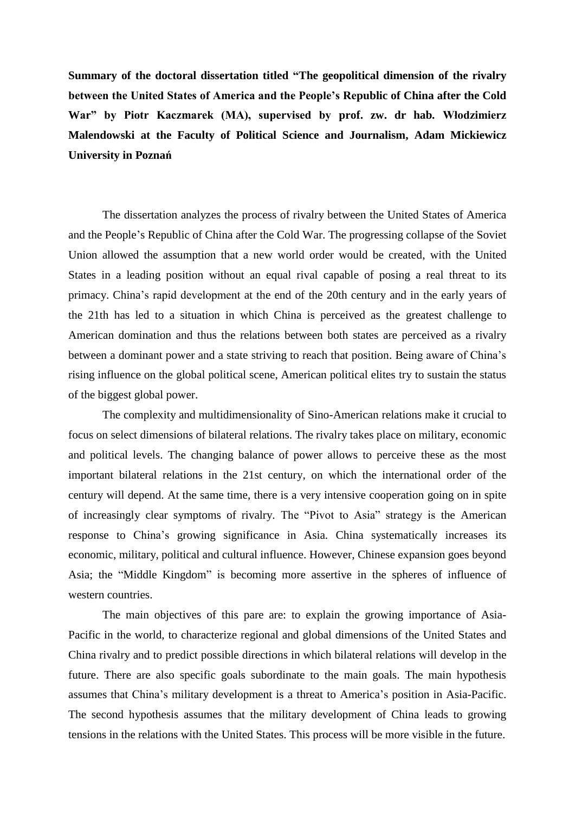**Summary of the doctoral dissertation titled "The geopolitical dimension of the rivalry between the United States of America and the People's Republic of China after the Cold War" by Piotr Kaczmarek (MA), supervised by prof. zw. dr hab***.* **Włodzimierz Malendowski at the Faculty of Political Science and Journalism, Adam Mickiewicz University in Poznań**

The dissertation analyzes the process of rivalry between the United States of America and the People's Republic of China after the Cold War. The progressing collapse of the Soviet Union allowed the assumption that a new world order would be created, with the United States in a leading position without an equal rival capable of posing a real threat to its primacy. China's rapid development at the end of the 20th century and in the early years of the 21th has led to a situation in which China is perceived as the greatest challenge to American domination and thus the relations between both states are perceived as a rivalry between a dominant power and a state striving to reach that position. Being aware of China's rising influence on the global political scene, American political elites try to sustain the status of the biggest global power.

The complexity and multidimensionality of Sino-American relations make it crucial to focus on select dimensions of bilateral relations. The rivalry takes place on military, economic and political levels. The changing balance of power allows to perceive these as the most important bilateral relations in the 21st century, on which the international order of the century will depend. At the same time, there is a very intensive cooperation going on in spite of increasingly clear symptoms of rivalry. The "Pivot to Asia" strategy is the American response to China's growing significance in Asia. China systematically increases its economic, military, political and cultural influence. However, Chinese expansion goes beyond Asia; the "Middle Kingdom" is becoming more assertive in the spheres of influence of western countries.

The main objectives of this pare are: to explain the growing importance of Asia-Pacific in the world, to characterize regional and global dimensions of the United States and China rivalry and to predict possible directions in which bilateral relations will develop in the future. There are also specific goals subordinate to the main goals. The main hypothesis assumes that China's military development is a threat to America's position in Asia-Pacific. The second hypothesis assumes that the military development of China leads to growing tensions in the relations with the United States. This process will be more visible in the future.